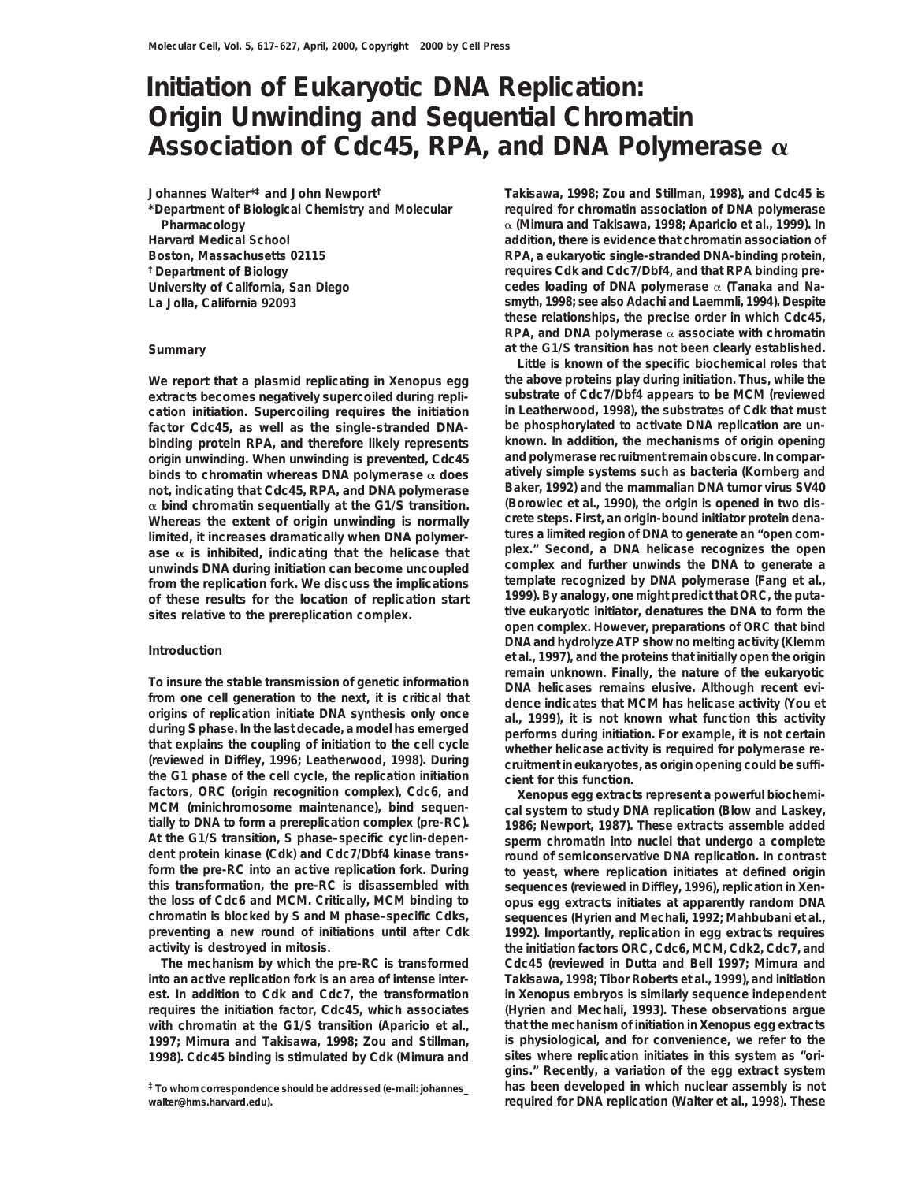## **Initiation of Eukaryotic DNA Replication: Origin Unwinding and Sequential Chromatin Association of Cdc45, RPA, and DNA Polymerase** a

**Johannes Walter\*‡ and John Newport†**

**\*Department of Biological Chemistry and Molecular Pharmacology Harvard Medical School Boston, Massachusetts 02115**

**extracts becomes negatively supercoiled during repli- substrate of Cdc7/Dbf4 appears to be MCM (reviewed factor Cdc45, as well as the single-stranded DNA- be phosphorylated to activate DNA replication are unbinding protein RPA, and therefore likely represents known. In addition, the mechanisms of origin opening** origin unwinding. When unwinding is prevented, Cdc45 **binds to chromatin whereas DNA polymerase** a **does atively simple systems such as bacteria (Kornberg and not, indicating that Cdc45, RPA, and DNA polymerase** Baker, 1992) and the mammalian DNA tumor virus SV40<br> **α** bind chromatin sequentially at the G1/S transition. (Borowiec et al., 1990), the origin is opened in two disa **bind chromatin sequentially at the G1/S transition. (Borowiec et al., 1990), the origin is opened in two dis-Whereas the extent of origin unwinding is normally crete steps. First, an origin-bound initiator protein dena**limited, it increases dramatically when DNA polymer-<br>ase α is inhibited, indicating that the helicase that and plex.<sup>"</sup> Second, a DNA helicase recognizes the open ase  $\alpha$  is inhibited, indicating that the helicase that **unwinds DNA during initiation can become uncoupled complex and further unwinds the DNA to generate a**

factors, ORC (origin recognition complex), Cdc6, and<br>MCM (minichromosome maintenance), bind sequen-<br>tially to DNA to form a prereplication complex (pre-RC). 1986; Newport, 1987). These extracts assemble added **At the G1/S transition, S phase–specific cyclin-depen- sperm chromatin into nuclei that undergo a complete** dent protein kinase (Cdk) and Cdc7/Dbf4 kinase trans-<br> **round of semiconservative DNA replication.** In contrast<br> **form the pre-RC** into an active replication fork. During<br> **to veast.** where replication initiates at defined **form the pre-RC into an active replication fork. During to yeast, where replication initiates at defined origin this transformation, the pre-RC is disassembled with sequences (reviewed in Diffley, 1996), replication in** *Xen***chromatin is blocked by S and M phase–specific Cdks, sequences (Hyrien and Mechali, 1992; Mahbubani et al., preventing a new round of initiations until after Cdk 1992). Importantly, replication in egg extracts requires activity is destroyed in mitosis. the initiation factors ORC, Cdc6, MCM, Cdk2, Cdc7, and**

**into an active replication fork is an area of intense inter- Takisawa, 1998; Tibor Roberts et al., 1999), and initiation requires the initiation factor, Cdc45, which associates (Hyrien and Mechali, 1993). These observations argue with chromatin at the G1/S transition (Aparicio et al., that the mechanism of initiation in** *Xenopus* **egg extracts 1997; Mimura and Takisawa, 1998; Zou and Stillman, is physiological, and for convenience, we refer to the**

**walter@hms.harvard.edu). required for DNA replication (Walter et al., 1998). These**

**Takisawa, 1998; Zou and Stillman, 1998), and Cdc45 is required for chromatin association of DNA polymerase** a **(Mimura and Takisawa, 1998; Aparicio et al., 1999). In addition, there is evidence that chromatin association of RPA, a eukaryotic single-stranded DNA-binding protein, †Department of Biology requires Cdk and Cdc7/Dbf4, and that RPA binding pre-University of California, San Diego cedes loading of DNA polymerase** a **(Tanaka and Na-La Jolla, California 92093 smyth, 1998; see also Adachi and Laemmli, 1994). Despite these relationships, the precise order in which Cdc45, RPA, and DNA polymerase** a **associate with chromatin Summary at the G1/S transition has not been clearly established.**

**Little is known of the specific biochemical roles that We report that a plasmid replicating in** *Xenopus* **egg the above proteins play during initiation. Thus, while the cation initiation. Supercoiling requires the initiation in Leatherwood, 1998), the substrates of Cdk that must** from the replication fork. We discuss the implications<br>of these results for the location of replication start<br>sites relative to the prereplication complex.<br>sites relative to the prereplication complex.<br>open complex. Howeve **DNA and hydrolyze ATP show no melting activity (Klemm Introduction et al., 1997), and the proteins that initially open the origin** To insure the stable transmission of genetic information<br>from one cell generation to the next, it is critical that<br>origins of replication initiate DNA synthesis only once<br>during S phase. In the last decade, a model has eme

*opus* **egg extracts initiates at apparently random DNA The mechanism by which the pre-RC is transformed Cdc45 (reviewed in Dutta and Bell 1997; Mimura and est. In addition to Cdk and Cdc7, the transformation in** *Xenopus* **embryos is similarly sequence independent 1998). Cdc45 binding is stimulated by Cdk (Mimura and sites where replication initiates in this system as "origins." Recently, a variation of the egg extract system ‡To whom correspondence should be addressed (e-mail: johannes\_ has been developed in which nuclear assembly is not**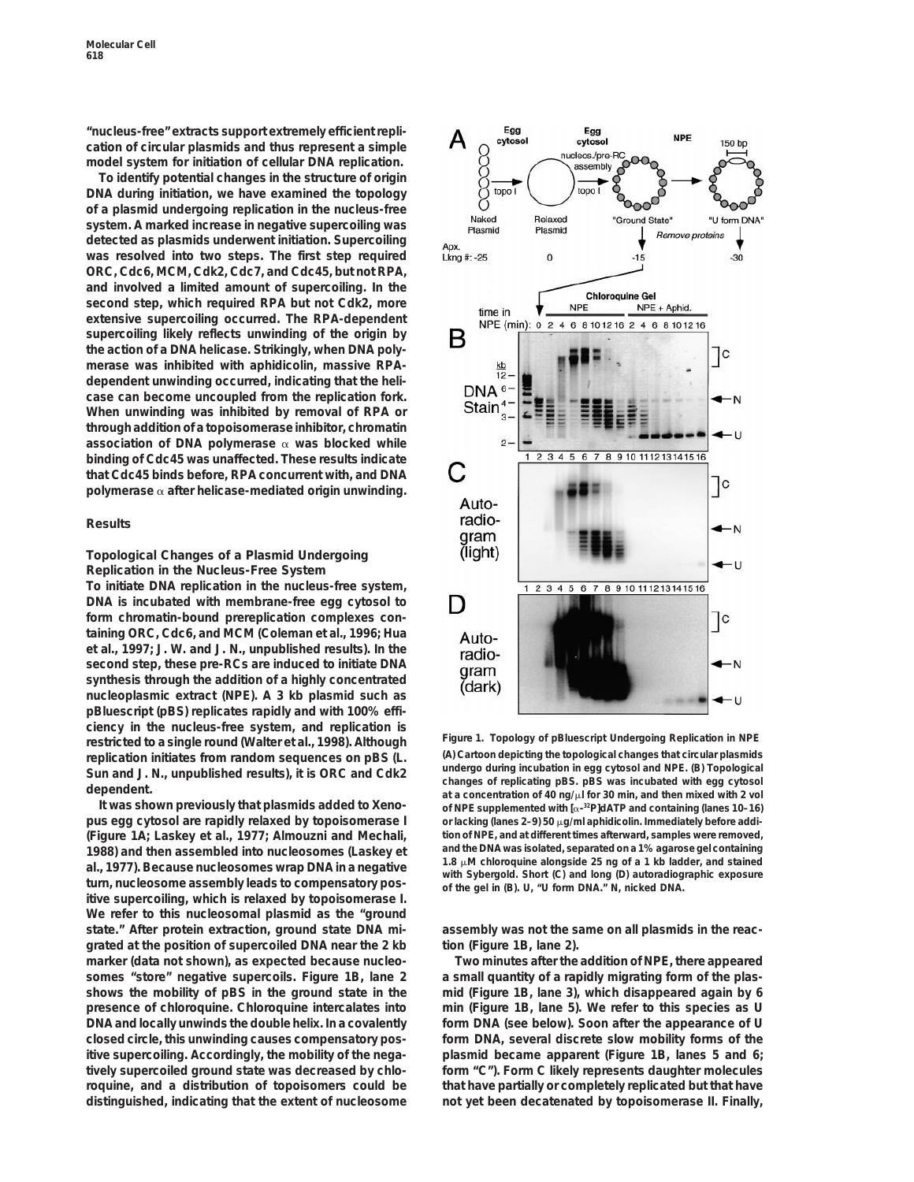**"nucleus-free" extracts support extremely efficient replication of circular plasmids and thus represent a simple model system for initiation of cellular DNA replication.**

**To identify potential changes in the structure of origin DNA during initiation, we have examined the topology of a plasmid undergoing replication in the nucleus-free system. A marked increase in negative supercoiling was detected as plasmids underwent initiation. Supercoiling was resolved into two steps. The first step required ORC, Cdc6, MCM, Cdk2, Cdc7, and Cdc45, but not RPA, and involved a limited amount of supercoiling. In the second step, which required RPA but not Cdk2, more extensive supercoiling occurred. The RPA-dependent supercoiling likely reflects unwinding of the origin by the action of a DNA helicase. Strikingly, when DNA polymerase was inhibited with aphidicolin, massive RPAdependent unwinding occurred, indicating that the helicase can become uncoupled from the replication fork. When unwinding was inhibited by removal of RPA or through addition of a topoisomerase inhibitor, chromatin association of DNA polymerase** a **was blocked while binding of Cdc45 was unaffected. These results indicate that Cdc45 binds before, RPA concurrent with, and DNA polymerase** a **after helicase-mediated origin unwinding.**

### **Results**

### **Topological Changes of a Plasmid Undergoing Replication in the Nucleus-Free System**

**To initiate DNA replication in the nucleus-free system, DNA is incubated with membrane-free egg cytosol to form chromatin-bound prereplication complexes containing ORC, Cdc6, and MCM (Coleman et al., 1996; Hua et al., 1997; J. W. and J. N., unpublished results). In the second step, these pre-RCs are induced to initiate DNA synthesis through the addition of a highly concentrated nucleoplasmic extract (NPE). A 3 kb plasmid such as pBluescript (pBS) replicates rapidly and with 100% efficiency in the nucleus-free system, and replication is Figure 1. Topology of pBluescript Undergoing Replication in NPE restricted to a single round (Walter et al., 1998). Although**

pus egg cytosol are rapidly relaxed by topoisomerase I or lacking (lanes 2-9) 50 µg/ml aphidicolin. Immediately before addi**tion of NPE, and at different times afterward, samples were removed, (Figure 1A; Laskey et al., 1977; Almouzni and Mechali,** 1988) and then assembled into nucleosomes (Laskey et and the DNA was isolated, separated on a 1% agarose gel containing<br>al., 1977). Because nucleosomes wrap DNA in a negative<br>turn, nucleosome assembly leads to compensatory **itive supercoiling, which is relaxed by topoisomerase I. We refer to this nucleosomal plasmid as the "ground** state." After protein extraction, ground state DNA mi-<br>assembly was not the same on all plasmids in the reac**grated at the position of supercoiled DNA near the 2 kb tion (Figure 1B, lane 2). marker (data not shown), as expected because nucleo- Two minutes after the addition of NPE, there appeared somes "store" negative supercoils. Figure 1B, lane 2 a small quantity of a rapidly migrating form of the plasshows the mobility of pBS in the ground state in the mid (Figure 1B, lane 3), which disappeared again by 6 presence of chloroquine. Chloroquine intercalates into min (Figure 1B, lane 5). We refer to this species as U DNA and locally unwinds the double helix. In a covalently form DNA (see below). Soon after the appearance of U closed circle, this unwinding causes compensatory pos- form DNA, several discrete slow mobility forms of the itive supercoiling. Accordingly, the mobility of the nega- plasmid became apparent (Figure 1B, lanes 5 and 6; tively supercoiled ground state was decreased by chlo- form "C"). Form C likely represents daughter molecules roquine, and a distribution of topoisomers could be that have partially or completely replicated but that have distinguished, indicating that the extent of nucleosome not yet been decatenated by topoisomerase II. Finally,**



replication initiates from random sequences on pBS (L. (A) Cartoon depicting the topological changes that circular plasmids<br>Sun and J. N., unpublished results), it is ORC and Cdk2<br>dependent.<br>determines of replicating pBS. **It was shown previously that plasmids added to** *Xeno-* **of NPE supplemented with [**a**-32P]dATP and containing (lanes 10–16)**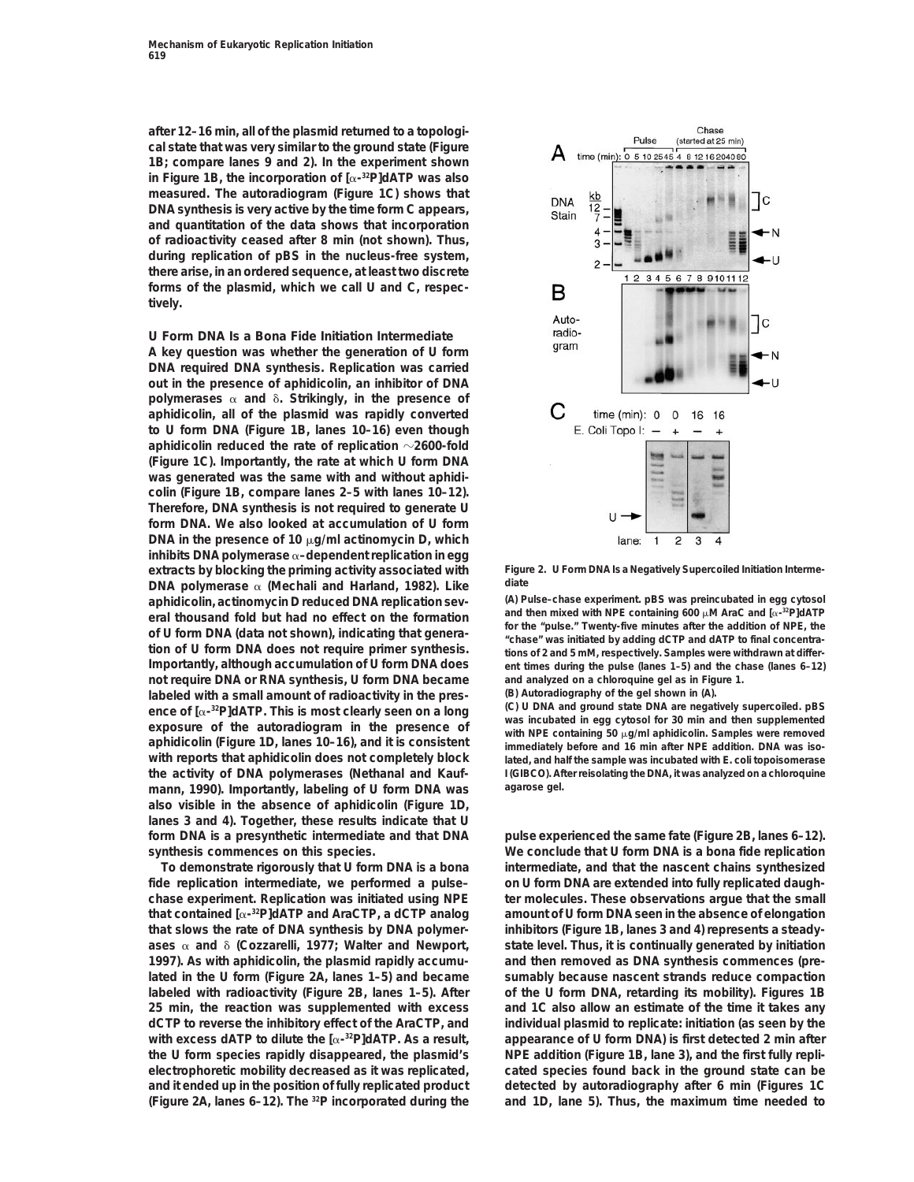**after 12–16 min, all of the plasmid returned to a topological state that was very similar to the ground state (Figure 1B; compare lanes 9 and 2). In the experiment shown in Figure 1B, the incorporation of [**a**-32P]dATP was also measured. The autoradiogram (Figure 1C) shows that DNA synthesis is very active by the time form C appears, and quantitation of the data shows that incorporation of radioactivity ceased after 8 min (not shown). Thus, during replication of pBS in the nucleus-free system, there arise, in an ordered sequence, at least two discrete forms of the plasmid, which we call U and C, respectively.**

### **U Form DNA Is a Bona Fide Initiation Intermediate**

**A key question was whether the generation of U form DNA required DNA synthesis. Replication was carried out in the presence of aphidicolin, an inhibitor of DNA** polymerases  $\alpha$  and  $\delta$ . Strikingly, in the presence of **aphidicolin, all of the plasmid was rapidly converted to U form DNA (Figure 1B, lanes 10–16) even though** aphidicolin reduced the rate of replication  $\sim$ 2600-fold **(Figure 1C). Importantly, the rate at which U form DNA was generated was the same with and without aphidicolin (Figure 1B, compare lanes 2–5 with lanes 10–12). Therefore, DNA synthesis is not required to generate U form DNA. We also looked at accumulation of U form DNA in the presence of 10 μg/ml actinomycin D, which inhibits DNA polymerase** a**–dependent replication in egg extracts by blocking the priming activity associated with Figure 2. U Form DNA Is a Negatively Supercoiled Initiation Interme-DNA polymerase** α (Mechali and Harland, 1982). Like all attaching diate<br>aphidicolin actinomycin Direduced DNA replication sey. (A) Pulse-chase experiment, pBS was preincubated in egg cytosol **aphidicolin, actinomycin D reduced DNA replication sev- (A) Pulse–chase experiment. pBS was preincubated in egg cytosol not require DNA or RNA synthesis, U form DNA became and analyzed on a chloroquine gel as in Figure 1.** labeled with a small amount of radioactivity in the pres-<br>ence of  $[\alpha^{-32}P]dATP$ . This is most clearly seen on a long<br>exposure of the autoradiogram in the presence of with NPE containing 50  $\mu$ g/ml aphidicolin. Samples we mann, 1990). Importantly, labeling of U form DNA was **also visible in the absence of aphidicolin (Figure 1D, lanes 3 and 4). Together, these results indicate that U form DNA is a presynthetic intermediate and that DNA pulse experienced the same fate (Figure 2B, lanes 6–12).**

**fide replication intermediate, we performed a pulse– on U form DNA are extended into fully replicated daughthat slows the rate of DNA synthesis by DNA polymer- inhibitors (Figure 1B, lanes 3 and 4) represents a steady-1997). As with aphidicolin, the plasmid rapidly accumu- and then removed as DNA synthesis commences (prelabeled with radioactivity (Figure 2B, lanes 1–5). After of the U form DNA, retarding its mobility). Figures 1B 25 min, the reaction was supplemented with excess and 1C also allow an estimate of the time it takes any dCTP to reverse the inhibitory effect of the AraCTP, and individual plasmid to replicate: initiation (as seen by the** with excess dATP to dilute the  $[\alpha^{-32}P]$ dATP. As a result, appearance of U form DNA) is first detected 2 min after **the U form species rapidly disappeared, the plasmid's NPE addition (Figure 1B, lane 3), and the first fully replielectrophoretic mobility decreased as it was replicated, cated species found back in the ground state can be and it ended up in the position of fully replicated product detected by autoradiography after 6 min (Figures 1C (Figure 2A, lanes 6–12). The <sup>32</sup>P incorporated during the and 1D, lane 5). Thus, the maximum time needed to** 



**and then mixed with NPE containing 600**  $\mu$ M AraC and  $\alpha$ -3PJdATP **eral thousand fold but had no effect on the formation example on the "pulse."** Twenty-five minutes after the addition of NPE, the of U form DNA (data not shown), indicating that general times was initiated by adding dCTP and dATP to find to the L, the<br>tions of 2 and 5 mM, respectively. Samples were withdrawn at differ-<br>Importantly, although accumulat ent times during the pulse (lanes 1–5) and the chase (lanes 6–12)

**with reports that aphidicolin does not completely block lated, and half the sample was incubated with** *E. coli* **topoisomerase the activity of DNA polymerases (Nethanal and Kauf- I (GIBCO). After reisolating the DNA, it was analyzed on a chloroquine**

**synthesis commences on this species. We conclude that U form DNA is a bona fide replication To demonstrate rigorously that U form DNA is a bona intermediate, and that the nascent chains synthesized chase experiment. Replication was initiated using NPE ter molecules. These observations argue that the small that contained [**a**- amount of U form DNA seen in the absence of elongation 32P]dATP and AraCTP, a dCTP analog** ases  $\alpha$  and  $\delta$  (Cozzarelli, 1977; Walter and Newport, state level. Thus, it is continually generated by initiation **lated in the U form (Figure 2A, lanes 1–5) and became sumably because nascent strands reduce compaction**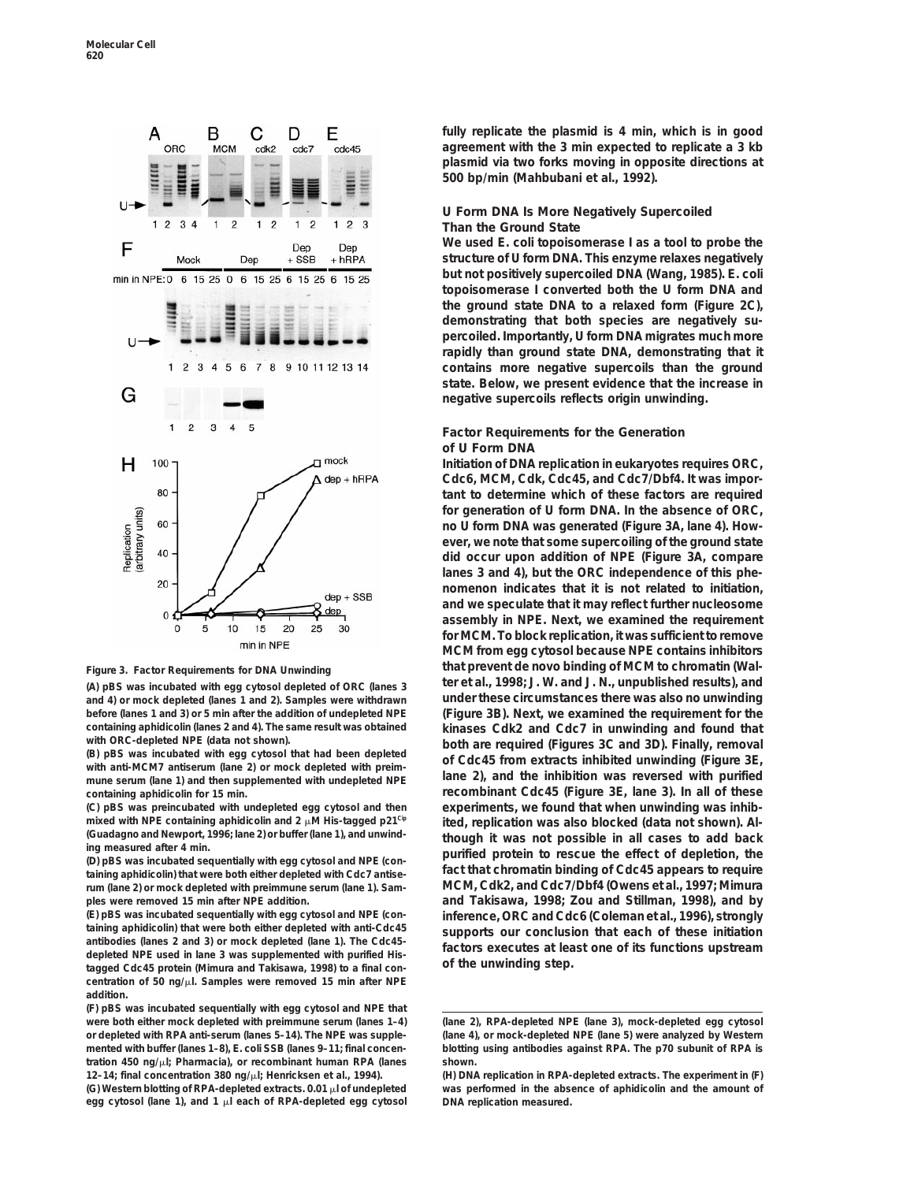

(A) pBS was incubated with egg cytosol depleted of ORC (lanes 3 **and 4) or mock depleted (lanes 1 and 2). Samples were withdrawn under these circumstances there was also no unwinding before (lanes 1 and 3) or 5 min after the addition of undepleted NPE (Figure 3B). Next, we examined the requirement for the**

mune serum (lane 1) and then supplemented with undepleted NPE **containing aphidicolin for 15 min. recombinant Cdc45 (Figure 3E, lane 3). In all of these**

(E) pBS was incubated sequentially with egg cytosol and NPE (con-<br>taining aphidicolin) that were both either depleted with anti-Cdc45<br>antibodies (lanes 2 and 3) or mock depleted (lane 1). The Cdc45-<br>depleted NPE used in la **centration of 50 ng/**m**l. Samples were removed 15 min after NPE addition.**

**(F) pBS was incubated sequentially with egg cytosol and NPE that were both either mock depleted with preimmune serum (lanes 1–4) (lane 2), RPA-depleted NPE (lane 3), mock-depleted egg cytosol or depleted with RPA anti-serum (lanes 5–14). The NPE was supple- (lane 4), or mock-depleted NPE (lane 5) were analyzed by Western tration 450 ng/**m**l; Pharmacia), or recombinant human RPA (lanes shown.**

**egg cytosol (lane 1), and 1** m**l each of RPA-depleted egg cytosol DNA replication measured.**

**fully replicate the plasmid is 4 min, which is in good agreement with the 3 min expected to replicate a 3 kb plasmid via two forks moving in opposite directions at 500 bp/min (Mahbubani et al., 1992).**

### **U Form DNA Is More Negatively Supercoiled Than the Ground State**

**We used** *E. coli* **topoisomerase I as a tool to probe the structure of U form DNA. This enzyme relaxes negatively but not positively supercoiled DNA (Wang, 1985).** *E. coli* **topoisomerase I converted both the U form DNA and the ground state DNA to a relaxed form (Figure 2C), demonstrating that both species are negatively supercoiled. Importantly, U form DNA migrates much more rapidly than ground state DNA, demonstrating that it contains more negative supercoils than the ground state. Below, we present evidence that the increase in negative supercoils reflects origin unwinding.**

### **Factor Requirements for the Generation of U Form DNA**

**Initiation of DNA replication in eukaryotes requires ORC, Cdc6, MCM, Cdk, Cdc45, and Cdc7/Dbf4. It was important to determine which of these factors are required for generation of U form DNA. In the absence of ORC, no U form DNA was generated (Figure 3A, lane 4). However, we note that some supercoiling of the ground state did occur upon addition of NPE (Figure 3A, compare lanes 3 and 4), but the ORC independence of this phenomenon indicates that it is not related to initiation, and we speculate that it may reflect further nucleosome assembly in NPE. Next, we examined the requirement for MCM. To block replication, it was sufficient to remove MCM from egg cytosol because NPE contains inhibitors that prevent de novo binding of MCM to chromatin (Wal-**<br> **All pBS** was incubated with egg cytosol depleted of ORC flanes 3 **Figure 1.1998; J. W. and J. N., unpublished results), and** containing aphidicolin (lanes 2 and 4). The same result was obtained<br>with ORC-depleted NPE (data not shown).<br>(B) pBS was incubated with egg cytosol that had been depleted<br>with anti-MCM7 antiserum (lane 2) or mock depleted **(C) pBS was preincubated with undepleted egg cytosol and then experiments, we found that when unwinding was inhib**mixed with NPE containing aphidicolin and  $2 \mu$ M His-tagged p21<sup>cle</sup> ited, replication was also blocked (data not shown). Al-<br>ing measured after 4 min.<br>ing measured after 4 min.<br>taip per sumplies are approximately with eg **rum (lane 2) or mock depleted with preimmune serum (lane 1). Sam- MCM, Cdk2, and Cdc7/Dbf4 (Owens et al., 1997; Mimura ples were removed 15 min after NPE addition. and Takisawa, 1998; Zou and Stillman, 1998), and by**

blotting using antibodies against RPA. The p70 subunit of RPA is

**<sup>12–14;</sup> final concentration 380 ng/**m**l; Henricksen et al., 1994). (H) DNA replication in RPA-depleted extracts. The experiment in (F) (G) Western blotting of RPA-depleted extracts. 0.01** m**l of undepleted was performed in the absence of aphidicolin and the amount of**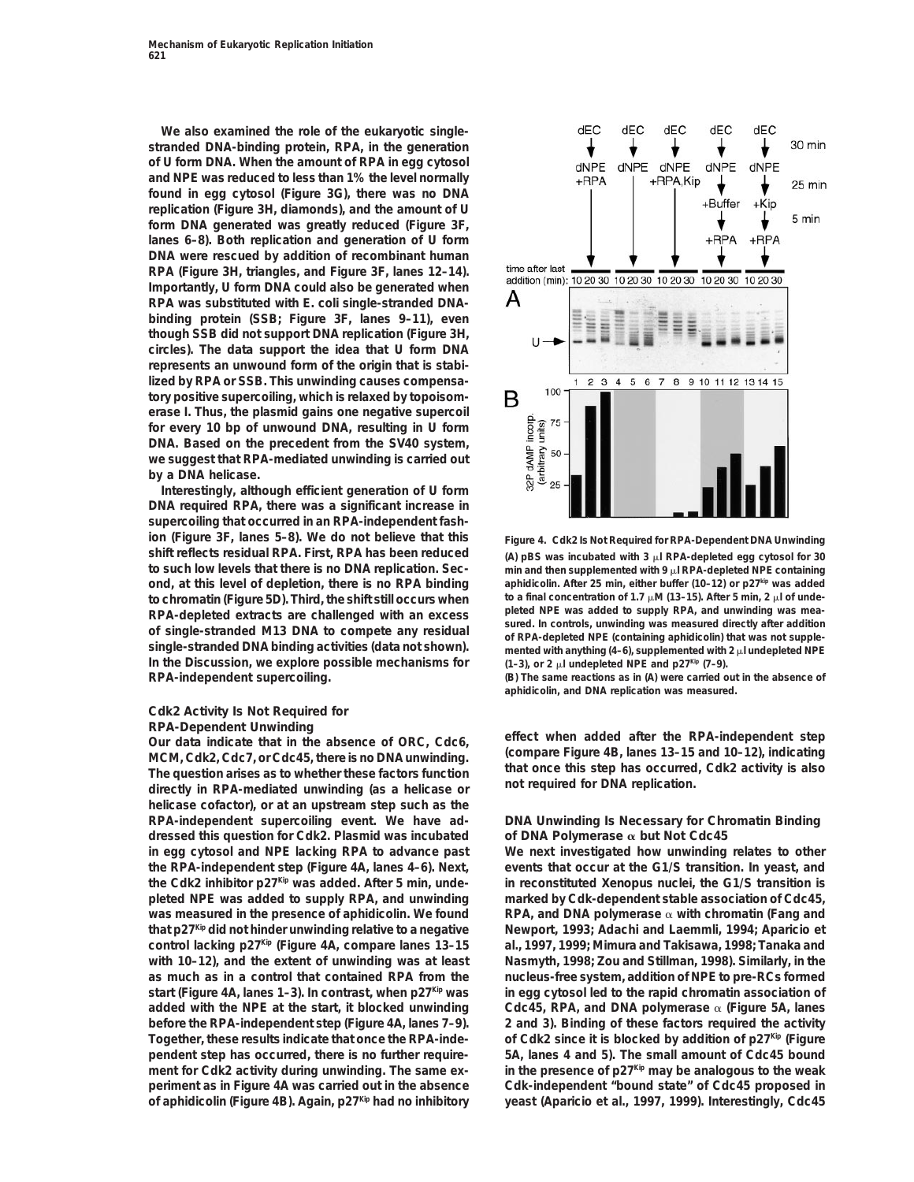**We also examined the role of the eukaryotic singlestranded DNA-binding protein, RPA, in the generation of U form DNA. When the amount of RPA in egg cytosol and NPE was reduced to less than 1% the level normally found in egg cytosol (Figure 3G), there was no DNA replication (Figure 3H, diamonds), and the amount of U form DNA generated was greatly reduced (Figure 3F, lanes 6–8). Both replication and generation of U form DNA were rescued by addition of recombinant human RPA (Figure 3H, triangles, and Figure 3F, lanes 12–14). Importantly, U form DNA could also be generated when RPA was substituted with** *E. coli* **single-stranded DNAbinding protein (SSB; Figure 3F, lanes 9–11), even though SSB did not support DNA replication (Figure 3H, circles). The data support the idea that U form DNA represents an unwound form of the origin that is stabilized by RPA or SSB. This unwinding causes compensatory positive supercoiling, which is relaxed by topoisomerase I. Thus, the plasmid gains one negative supercoil for every 10 bp of unwound DNA, resulting in U form DNA. Based on the precedent from the SV40 system, we suggest that RPA-mediated unwinding is carried out by a DNA helicase.**

**Interestingly, although efficient generation of U form DNA required RPA, there was a significant increase in supercoiling that occurred in an RPA-independent fashion (Figure 3F, lanes 5–8). We do not believe that this Figure 4. Cdk2 Is Not Required for RPA-Dependent DNA Unwinding shift reflects residual RPA. First, RPA has been reduced** (A) pBS was incubated with 3  $\mu$  RPA-depleted egg cytosol for 30 **to such low levels that there is no DNA replication. Sec-** min and then supplemented with 9  $\mu$  RPA-depleted NPE containing **aphidicolin. After 25 min, either buffer (10–12) or p27<sup>kip</sup> was added to chromatin (Figure 5D). Third, the shift still occurs when to a final concentration of 1.7 μM (13–15). After 5 min, 2 μl of unde**to chromatin (Figure 5D). Third, the shift still occurs when<br>
RPA-depleted extracts are challenged with an excess<br>
of single-stranded M13 DNA to compete any residual<br>
single-stranded DNA binding activities (data not shown **In the Discussion, we explore possible mechanisms for**  $(1-3)$ , or 2  $\mu$  undepleted NPE and p27Kip (7–9). **RPA-independent supercoiling. (B) The same reactions as in (A) were carried out in the absence of**

# **Cdk2 Activity Is Not Required for**

**MCM, Cdk2, Cdc7, or Cdc45, there is no DNA unwinding. (compare Figure 4B, lanes 13–15 and 10–12), indicating** The question arises as to whether these factors function<br>directly in RPA-mediated unwinding (as a helicase or and required for DNA replication. **helicase cofactor), or at an upstream step such as the RPA-independent supercoiling event. We have ad- DNA Unwinding Is Necessary for Chromatin Binding dressed this question for Cdk2. Plasmid was incubated of DNA Polymerase** a **but Not Cdc45 in egg cytosol and NPE lacking RPA to advance past We next investigated how unwinding relates to other the RPA-independent step (Figure 4A, lanes 4–6). Next, events that occur at the G1/S transition. In yeast, and the Cdk2 inhibitor p27Kip was added. After 5 min, unde- in reconstituted** *Xenopus* **nuclei, the G1/S transition is pleted NPE was added to supply RPA, and unwinding marked by Cdk-dependent stable association of Cdc45,** was measured in the presence of aphidicolin. We found RPA, and DNA polymerase  $\alpha$  with chromatin (Fang and **that p27** Kip did not hinder unwinding relative to a negative Rewport, 1993; Adachi and Laemmli, 1994; Aparicio et **control lacking p27Kip (Figure 4A, compare lanes 13–15 al., 1997, 1999; Mimura and Takisawa, 1998; Tanaka and with 10–12), and the extent of unwinding was at least Nasmyth, 1998; Zou and Stillman, 1998). Similarly, in the as much as in a control that contained RPA from the nucleus-free system, addition of NPE to pre-RCs formed start (Figure 4A, lanes 1–3). In contrast, when p27<sup>** $\kappa$ **ip</sup> was in egg cytosol led to the rapid chromatin association of** added with the NPE at the start, it blocked unwinding Cdc45, RPA, and DNA polymerase  $\alpha$  (Figure 5A, lanes **before the RPA-independent step (Figure 4A, lanes 7–9). 2 and 3). Binding of these factors required the activity** Together, these results indicate that once the RPA-inde- of Cdk2 since it is blocked by addition of p27<sup>Kip</sup> (Figure **pendent step has occurred, there is no further require- 5A, lanes 4 and 5). The small amount of Cdc45 bound ment for Cdk2 activity during unwinding. The same ex- in the presence of p27Kip may be analogous to the weak periment as in Figure 4A was carried out in the absence Cdk-independent "bound state" of Cdc45 proposed in of aphidicolin (Figure 4B). Again, p27Kip had no inhibitory yeast (Aparicio et al., 1997, 1999). Interestingly, Cdc45**



**aphidicolin, and DNA replication was measured.**

**RPA-Dependent Unwinding effect when added after the RPA-independent step Our data indicate that in the absence of ORC, Cdc6,**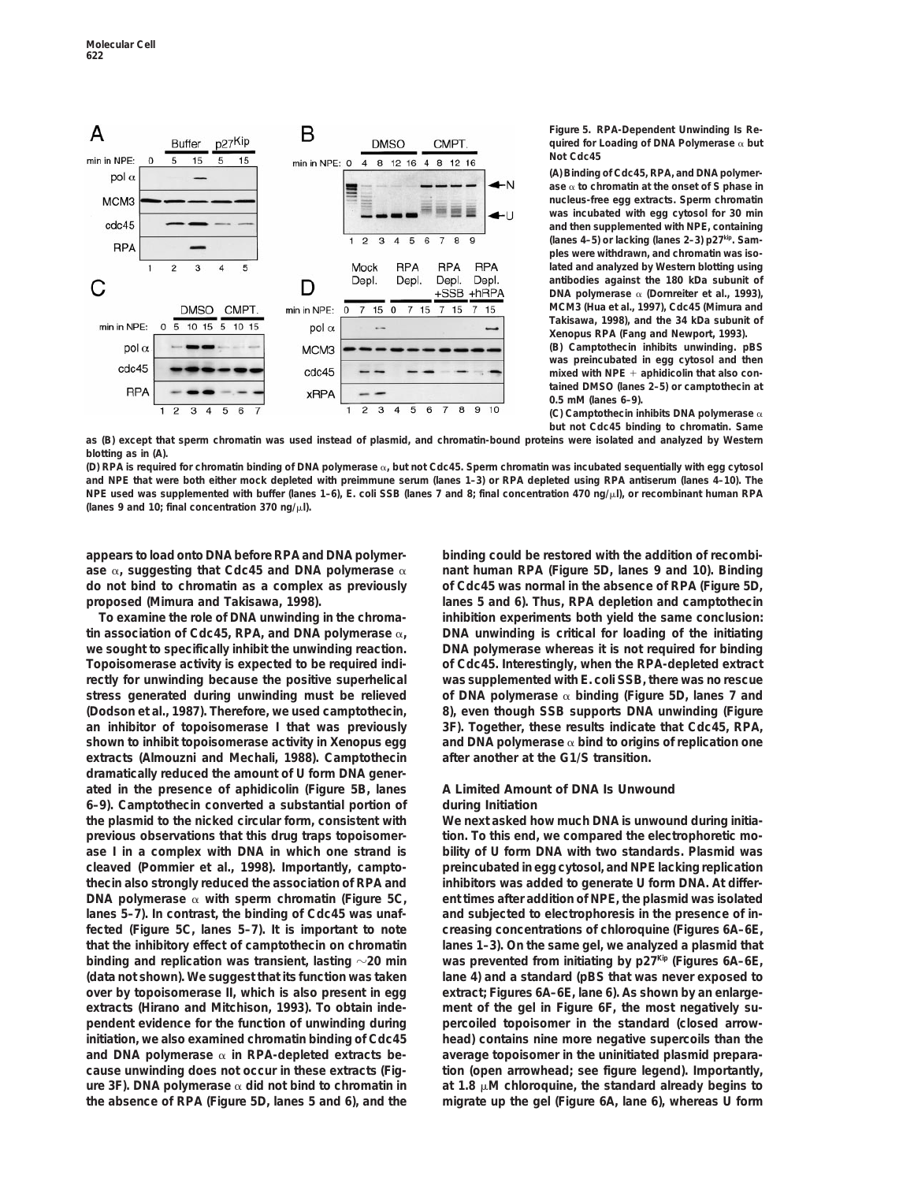

**Figure 5. RPA-Dependent Unwinding Is Required for Loading of DNA Polymerase** a **but Not Cdc45**

**(A) Binding of Cdc45, RPA, and DNA polymerase** a **to chromatin at the onset of S phase in nucleus-free egg extracts. Sperm chromatin was incubated with egg cytosol for 30 min and then supplemented with NPE, containing (lanes 4–5) or lacking (lanes 2–3) p27kip. Samples were withdrawn, and chromatin was isolated and analyzed by Western blotting using antibodies against the 180 kDa subunit of DNA polymerase** a **(Dornreiter et al., 1993), MCM3 (Hua et al., 1997), Cdc45 (Mimura and Takisawa, 1998), and the 34 kDa subunit of** *Xenopus* **RPA (Fang and Newport, 1993). (B) Camptothecin inhibits unwinding. pBS was preincubated in egg cytosol and then** mixed with NPE + aphidicolin that also con**tained DMSO (lanes 2–5) or camptothecin at**

**0.5 mM (lanes 6–9). (C) Camptothecin inhibits DNA polymerase** a **but not Cdc45 binding to chromatin. Same**

**as (B) except that sperm chromatin was used instead of plasmid, and chromatin-bound proteins were isolated and analyzed by Western blotting as in (A).**

**(D) RPA is required for chromatin binding of DNA polymerase** a**, but not Cdc45. Sperm chromatin was incubated sequentially with egg cytosol and NPE that were both either mock depleted with preimmune serum (lanes 1–3) or RPA depleted using RPA antiserum (lanes 4–10). The NPE used was supplemented with buffer (lanes 1–6),** *E. coli* **SSB (lanes 7 and 8; final concentration 470 ng/**m**l), or recombinant human RPA (lanes 9 and 10; final concentration 370 ng/**m**l).**

**appears to load onto DNA before RPA and DNA polymer- binding could be restored with the addition of recombi**ase  $\alpha$ , suggesting that Cdc45 and DNA polymerase  $\alpha$  **nant human RPA (Figure 5D, lanes 9 and 10). Binding do not bind to chromatin as a complex as previously of Cdc45 was normal in the absence of RPA (Figure 5D, proposed (Mimura and Takisawa, 1998). lanes 5 and 6). Thus, RPA depletion and camptothecin**

tin association of Cdc45, RPA, and DNA polymerase  $\alpha$ , DNA unwinding is critical for loading of the initiating **we sought to specifically inhibit the unwinding reaction. DNA polymerase whereas it is not required for binding Topoisomerase activity is expected to be required indi- of Cdc45. Interestingly, when the RPA-depleted extract rectly for unwinding because the positive superhelical was supplemented with** *E. coli* **SSB, there was no rescue stress generated during unwinding must be relieved of DNA polymerase** a **binding (Figure 5D, lanes 7 and (Dodson et al., 1987). Therefore, we used camptothecin, 8), even though SSB supports DNA unwinding (Figure an inhibitor of topoisomerase I that was previously 3F). Together, these results indicate that Cdc45, RPA, shown to inhibit topoisomerase activity in** *Xenopus* **egg and DNA polymerase** a **bind to origins of replication one extracts (Almouzni and Mechali, 1988). Camptothecin after another at the G1/S transition. dramatically reduced the amount of U form DNA generated in the presence of aphidicolin (Figure 5B, lanes A Limited Amount of DNA Is Unwound 6–9). Camptothecin converted a substantial portion of during Initiation the plasmid to the nicked circular form, consistent with We next asked how much DNA is unwound during initiaprevious observations that this drug traps topoisomer- tion. To this end, we compared the electrophoretic moase I in a complex with DNA in which one strand is bility of U form DNA with two standards. Plasmid was cleaved (Pommier et al., 1998). Importantly, campto- preincubated in egg cytosol, and NPE lacking replication thecin also strongly reduced the association of RPA and inhibitors was added to generate U form DNA. At differ-DNA polymerase**  $\alpha$  with sperm chromatin (Figure 5C, ent times after addition of NPE, the plasmid was isolated lanes 5–7). In contrast, the binding of Cdc45 was unaf- and subjected to electrophoresis in the presence of in**fected (Figure 5C, lanes 5–7). It is important to note creasing concentrations of chloroquine (Figures 6A–6E, that the inhibitory effect of camptothecin on chromatin lanes 1–3). On the same gel, we analyzed a plasmid that binding and replication was transient, lasting**  $\sim$  **20 min was prevented from initiating by p27Kip (Figures 6A–6E, (data not shown). We suggest that its function was taken lane 4) and a standard (pBS that was never exposed to over by topoisomerase II, which is also present in egg extract; Figures 6A–6E, lane 6). As shown by an enlargeextracts (Hirano and Mitchison, 1993). To obtain inde- ment of the gel in Figure 6F, the most negatively supendent evidence for the function of unwinding during percoiled topoisomer in the standard (closed arrowinitiation, we also examined chromatin binding of Cdc45 head) contains nine more negative supercoils than the** and DNA polymerase  $\alpha$  in RPA-depleted extracts be-<br> **average topoisomer in the uninitiated plasmid preparacause unwinding does not occur in these extracts (Fig- tion (open arrowhead; see figure legend). Importantly, ure 3F). DNA polymerase**  $\alpha$  did not bind to chromatin in at 1.8  $\mu$ M chloroquine, the standard already begins to **the absence of RPA (Figure 5D, lanes 5 and 6), and the migrate up the gel (Figure 6A, lane 6), whereas U form**

**To examine the role of DNA unwinding in the chroma- inhibition experiments both yield the same conclusion:**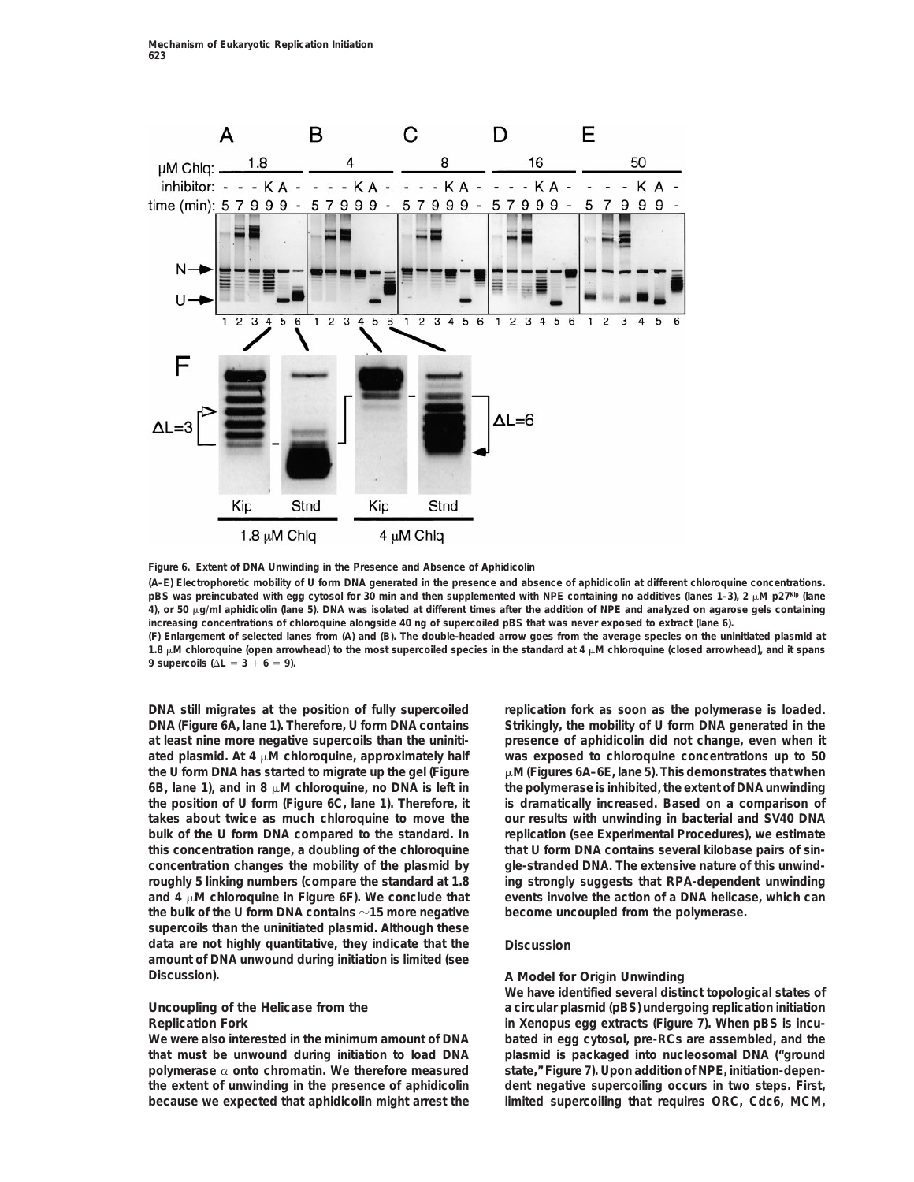

**Figure 6. Extent of DNA Unwinding in the Presence and Absence of Aphidicolin**

**(A–E) Electrophoretic mobility of U form DNA generated in the presence and absence of aphidicolin at different chloroquine concentrations.** pBS was preincubated with egg cytosol for 30 min and then supplemented with NPE containing no additives (lanes 1-3), 2 μM p27Kip (lane **4), or 50** m**g/ml aphidicolin (lane 5). DNA was isolated at different times after the addition of NPE and analyzed on agarose gels containing increasing concentrations of chloroquine alongside 40 ng of supercoiled pBS that was never exposed to extract (lane 6). (F) Enlargement of selected lanes from (A) and (B). The double-headed arrow goes from the average species on the uninitiated plasmid at**

1.8  $\mu$ M chloroquine (open arrowhead) to the most supercoiled species in the standard at 4  $\mu$ M chloroquine (closed arrowhead), and it spans **9 supercoils (** $\Delta L = 3 + 6 = 9$ **).** 

**DNA (Figure 6A, lane 1). Therefore, U form DNA contains Strikingly, the mobility of U form DNA generated in the at least nine more negative supercoils than the uniniti- presence of aphidicolin did not change, even when it ated plasmid. At 4** m**M chloroquine, approximately half was exposed to chloroquine concentrations up to 50 the U form DNA has started to migrate up the gel (Figure** m**M (Figures 6A–6E, lane 5). This demonstrates that when 6B, lane 1), and in 8** m**M chloroquine, no DNA is left in the polymerase is inhibited, the extent of DNA unwinding the position of U form (Figure 6C, lane 1). Therefore, it is dramatically increased. Based on a comparison of takes about twice as much chloroquine to move the our results with unwinding in bacterial and SV40 DNA bulk of the U form DNA compared to the standard. In replication (see Experimental Procedures), we estimate this concentration range, a doubling of the chloroquine that U form DNA contains several kilobase pairs of sinconcentration changes the mobility of the plasmid by gle-stranded DNA. The extensive nature of this unwindroughly 5 linking numbers (compare the standard at 1.8 ing strongly suggests that RPA-dependent unwinding** and  $4 \mu$ M chloroquine in Figure 6F). We conclude that events involve the action of a DNA helicase, which can **the bulk of the U form DNA contains** z**15 more negative become uncoupled from the polymerase. supercoils than the uninitiated plasmid. Although these data are not highly quantitative, they indicate that the Discussion amount of DNA unwound during initiation is limited (see Discussion). A Model for Origin Unwinding**

**We were also interested in the minimum amount of DNA bated in egg cytosol, pre-RCs are assembled, and the that must be unwound during initiation to load DNA plasmid is packaged into nucleosomal DNA ("ground polymerase** a **onto chromatin. We therefore measured state," Figure 7). Upon addition of NPE, initiation-depenthe extent of unwinding in the presence of aphidicolin dent negative supercoiling occurs in two steps. First,**

**DNA still migrates at the position of fully supercoiled replication fork as soon as the polymerase is loaded.**

**We have identified several distinct topological states of Uncoupling of the Helicase from the a circular plasmid (pBS) undergoing replication initiation Replication Fork in** *Xenopus* **egg extracts (Figure 7). When pBS is incubecause we expected that aphidicolin might arrest the limited supercoiling that requires ORC, Cdc6, MCM,**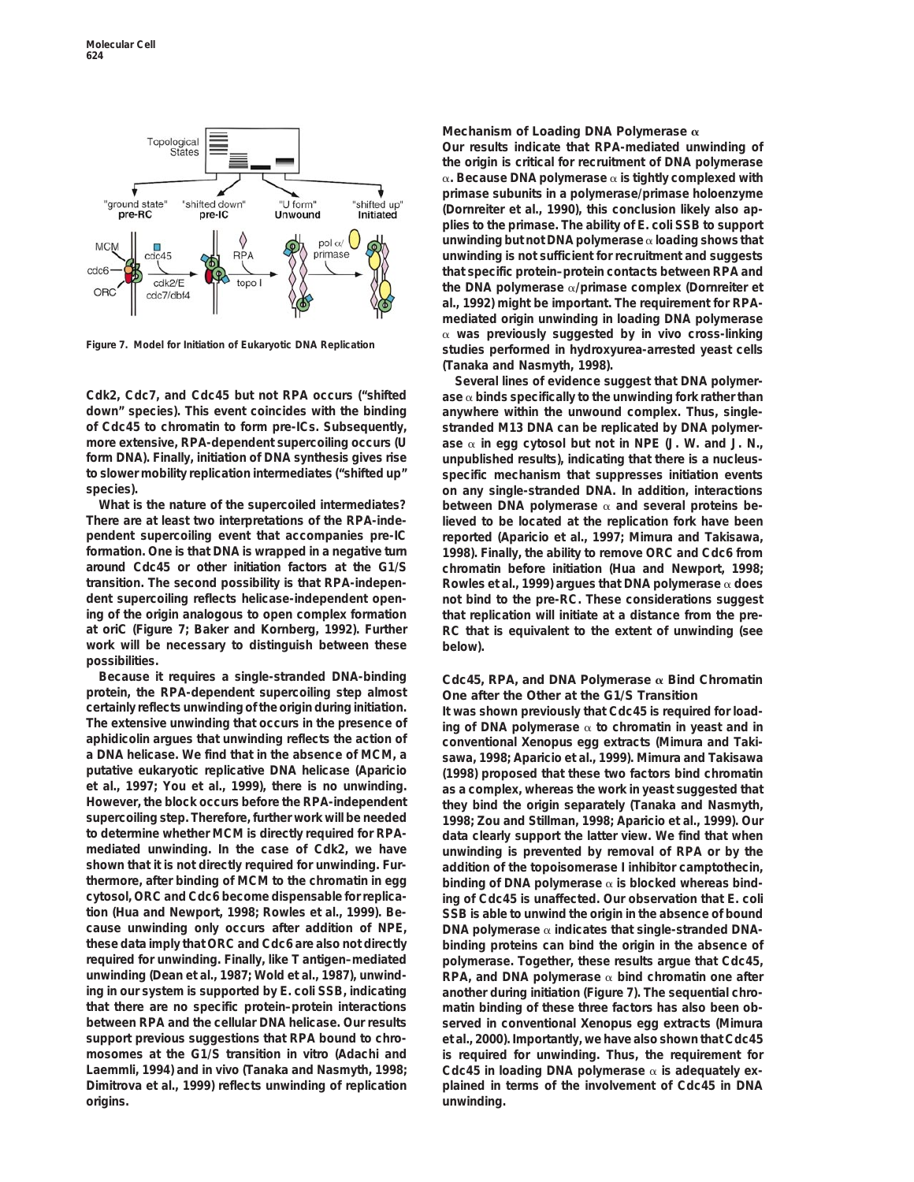

**Cdk2, Cdc7, and Cdc45 but not RPA occurs ("shifted ase** a **binds specifically to the unwinding fork rather than down" species). This event coincides with the binding anywhere within the unwound complex. Thus, singleof Cdc45 to chromatin to form pre-ICs. Subsequently, stranded M13 DNA can be replicated by DNA polymermore extensive, RPA-dependent supercoiling occurs (U ase** a **in egg cytosol but not in NPE (J. W. and J. N., form DNA). Finally, initiation of DNA synthesis gives rise unpublished results), indicating that there is a nucleusto slower mobility replication intermediates ("shifted up" specific mechanism that suppresses initiation events species). on any single-stranded DNA. In addition, interactions**

**work will be necessary to distinguish between these below). possibilities.**

**Because it requires a single-stranded DNA-binding Cdc45, RPA, and DNA Polymerase** a **Bind Chromatin protein, the RPA-***dependent* **supercoiling step almost One after the Other at the G1/S Transition certainly reflects unwinding of the origin during initiation. It was shown previously that Cdc45 is required for load-**The extensive unwinding that occurs in the presence of **ing of DNA polymerase**  $\alpha$  to chromatin in yeast and in aphidicolin argues that unwinding reflects the action of **conventional** *Xenopus* egg extracts (Mimura and T **aphidicolin argues that unwinding reflects the action of conventional** *Xenopus* **egg extracts (Mimura and Takia DNA helicase. We find that in the absence of MCM, a sawa, 1998; Aparicio et al., 1999). Mimura and Takisawa putative eukaryotic replicative DNA helicase (Aparicio (1998) proposed that these two factors bind chromatin et al., 1997; You et al., 1999), there is no unwinding. as a complex, whereas the work in yeast suggested that However, the block occurs before the RPA-***independent* **they bind the origin separately (Tanaka and Nasmyth, supercoiling step. Therefore, further work will be needed 1998; Zou and Stillman, 1998; Aparicio et al., 1999). Our mediated unwinding. In the case of Cdk2, we have unwinding is prevented by removal of RPA or by the shown that it is not directly required for unwinding. Fur- addition of the topoisomerase I inhibitor camptothecin, thermore, after binding of MCM to the chromatin in egg binding of DNA polymerase** a **is blocked whereas bindcytosol, ORC and Cdc6 become dispensable for replica- ing of Cdc45 is unaffected. Our observation that** *E. coli* **tion (Hua and Newport, 1998; Rowles et al., 1999). Be- SSB is able to unwind the origin in the absence of bound cause unwinding only occurs after addition of NPE, DNA polymerase** a **indicates that single-stranded DNAthese data imply that ORC and Cdc6 are also not directly binding proteins can bind the origin in the absence of required for unwinding. Finally, like T antigen–mediated polymerase. Together, these results argue that Cdc45, unwinding (Dean et al., 1987; Wold et al., 1987), unwind- RPA, and DNA polymerase** a **bind chromatin one after ing in our system is supported by** *E. coli* **SSB, indicating another during initiation (Figure 7). The sequential chrothat there are no specific protein–protein interactions matin binding of these three factors has also been obbetween RPA and the cellular DNA helicase. Our results served in conventional** *Xenopus* **egg extracts (Mimura support previous suggestions that RPA bound to chro- et al., 2000). Importantly, we have also shown that Cdc45 mosomes at the G1/S transition in vitro (Adachi and is required for unwinding. Thus, the requirement for Laemmli, 1994) and in vivo (Tanaka and Nasmyth, 1998; Cdc45 in loading DNA polymerase** a **is adequately ex-Dimitrova et al., 1999) reflects unwinding of replication plained in terms of the involvement of Cdc45 in DNA origins. unwinding.**

### **Mechanism of Loading DNA Polymerase** a

**Our results indicate that RPA-mediated unwinding of the origin is critical for recruitment of DNA polymerase** a**. Because DNA polymerase** a **is tightly complexed with primase subunits in a polymerase/primase holoenzyme (Dornreiter et al., 1990), this conclusion likely also applies to the primase. The ability of** *E. coli* **SSB to support unwinding but not DNA polymerase** a **loading shows that unwinding is not sufficient for recruitment and suggests that specific protein–protein contacts between RPA and the DNA polymerase** a**/primase complex (Dornreiter et al., 1992) might be important. The requirement for RPAmediated origin unwinding in loading DNA polymerase** <sup>a</sup> **was previously suggested by in vivo cross-linking Figure 7. Model for Initiation of Eukaryotic DNA Replication studies performed in hydroxyurea-arrested yeast cells (Tanaka and Nasmyth, 1998).**

**Several lines of evidence suggest that DNA polymer-**What is the nature of the supercoiled intermediates? between DNA polymerase  $\alpha$  and several proteins be-**There are at least two interpretations of the RPA-inde- lieved to be located at the replication fork have been pendent supercoiling event that accompanies pre-IC reported (Aparicio et al., 1997; Mimura and Takisawa, formation. One is that DNA is wrapped in a negative turn 1998). Finally, the ability to remove ORC and Cdc6 from around Cdc45 or other initiation factors at the G1/S chromatin before initiation (Hua and Newport, 1998; transition. The second possibility is that RPA-indepen- Rowles et al., 1999) argues that DNA polymerase** a **does dent supercoiling reflects helicase-independent open- not bind to the pre-RC. These considerations suggest ing of the origin analogous to open complex formation that replication will initiate at a distance from the preat** *oriC* **(Figure 7; Baker and Kornberg, 1992). Further RC that is equivalent to the extent of unwinding (see**

data clearly support the latter view. We find that when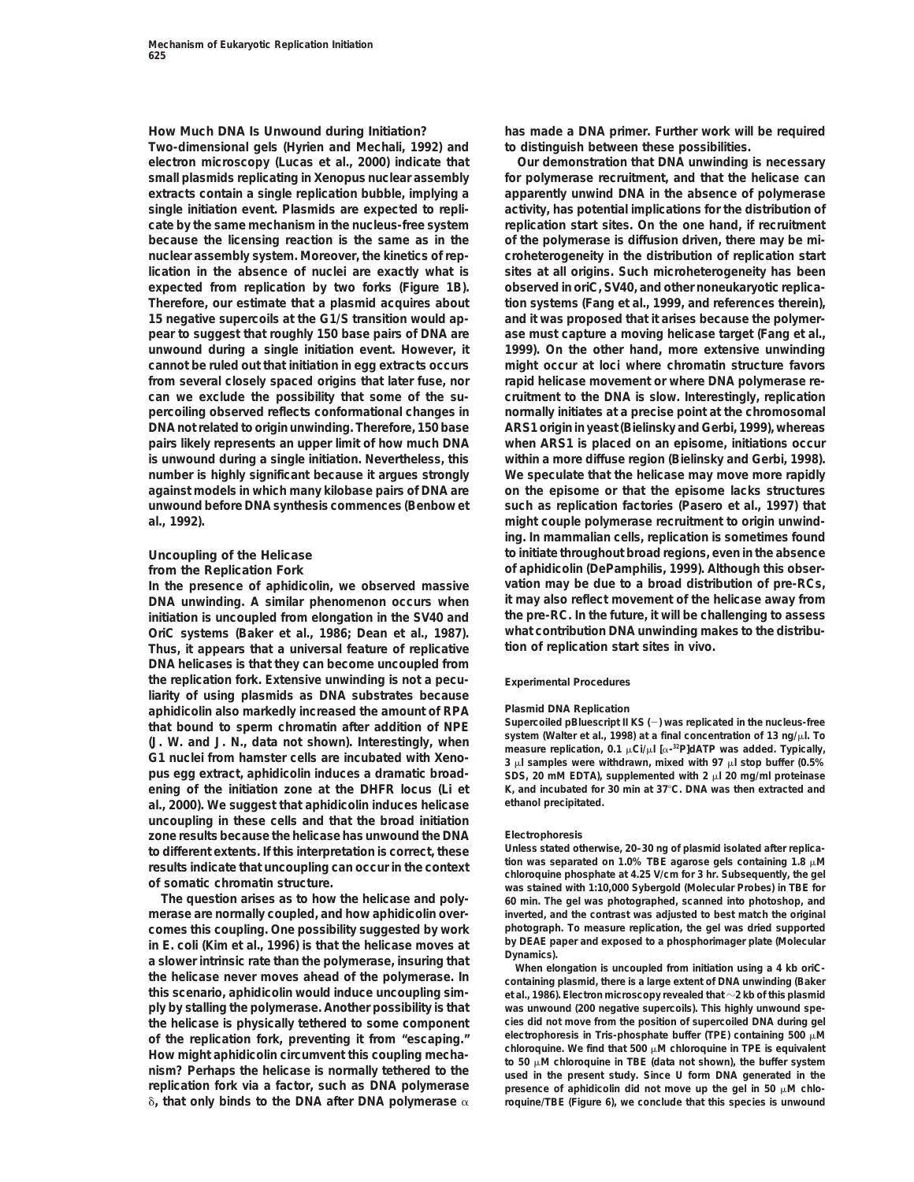**Two-dimensional gels (Hyrien and Mechali, 1992) and to distinguish between these possibilities. electron microscopy (Lucas et al., 2000) indicate that Our demonstration that DNA unwinding is necessary small plasmids replicating in** *Xenopus* **nuclear assembly for polymerase recruitment, and that the helicase can extracts contain a single replication bubble, implying a apparently unwind DNA in the absence of polymerase single initiation event. Plasmids are expected to repli- activity, has potential implications for the distribution of cate by the same mechanism in the nucleus-free system replication start sites. On the one hand, if recruitment because the licensing reaction is the same as in the of the polymerase is diffusion driven, there may be minuclear assembly system. Moreover, the kinetics of rep- croheterogeneity in the distribution of replication start lication in the absence of nuclei are exactly what is sites at all origins. Such microheterogeneity has been expected from replication by two forks (Figure 1B). observed in** *oriC***, SV40, and other noneukaryotic replica-Therefore, our estimate that a plasmid acquires about tion systems (Fang et al., 1999, and references therein), 15 negative supercoils at the G1/S transition would ap- and it was proposed that it arises because the polymerpear to suggest that roughly 150 base pairs of DNA are ase must capture a moving helicase target (Fang et al., unwound during a single initiation event. However, it 1999). On the other hand, more extensive unwinding cannot be ruled out that initiation in egg extracts occurs might occur at loci where chromatin structure favors from several closely spaced origins that later fuse, nor rapid helicase movement or where DNA polymerase recan we exclude the possibility that some of the su- cruitment to the DNA is slow. Interestingly, replication percoiling observed reflects conformational changes in normally initiates at a precise point at the chromosomal DNA not related to origin unwinding. Therefore, 150 base** *ARS1* **origin in yeast (Bielinsky and Gerbi, 1999), whereas pairs likely represents an** *upper limit* **of how much DNA when** *ARS1* **is placed on an episome, initiations occur is unwound during a single initiation. Nevertheless, this within a more diffuse region (Bielinsky and Gerbi, 1998). number is highly significant because it argues strongly We speculate that the helicase may move more rapidly against models in which many kilobase pairs of DNA are on the episome or that the episome lacks structures unwound before DNA synthesis commences (Benbow et such as replication factories (Pasero et al., 1997) that al., 1992). might couple polymerase recruitment to origin unwind-**

**DNA unwinding. A similar phenomenon occurs when it may also reflect movement of the helicase away from initiation is uncoupled from elongation in the SV40 and the pre-RC. In the future, it will be challenging to assess** OriC systems (Baker et al., 1986; Dean et al., 1987). What contribution DNA unwinding ma<br>Thus, it appears that a universal feature of replicative tion of replication start sites in vivo. Thus, it appears that a universal feature of replicative **DNA helicases is that they can become uncoupled from the replication fork. Extensive unwinding is not a pecu- Experimental Procedures liarity of using plasmids as DNA substrates because aphidicolin also markedly increased the amount of RPA Plasmid DNA Replication al., 2000). We suggest that aphidicolin induces helicase ethanol precipitated. uncoupling in these cells and that the broad initiation zone results because the helicase has unwound the DNA Electrophoresis**

**merase are normally coupled, and how aphidicolin over- inverted, and the contrast was adjusted to best match the original comes this coupling. One possibility suggested by work** photograph. To measure replication, the gel was dried supported<br>in E. coli (Kim of al. 1996) is that the bolicase moves at by DEAE paper and exposed to a phosphorima in E. coli (Kim et al., 1996) is that the helicase moves at<br>a slower intrinsic rate than the polymerase, insuring that<br>the helicase never moves ahead of the polymerase. In<br>this scenario, aphidicolin would induce uncouplin **ply by stalling the polymerase. Another possibility is that was unwound (200 negative supercoils). This highly unwound spe**the helicase is physically tethered to some component cies did not move from the position of supercoiled DNA during gel<br>of the replication fork preventing it from "escaping" electrophoresis in Tris-phosphate buffer (TPE) c of the replication fork, preventing it from "escaping." electrophoresis in Iris-phosphate buffer (IPE) containing 500  $\mu$ M<br>Chloroquine. We find that 500  $\mu$ M chloroquine in TPE is equivalent How might aphidicolin circumvent this coupling mecha-<br>nism? Perhaps the helicase is normally tethered to the  $\frac{1}{100}$  and the present study. Since U form DNA generated in the **replication fork via a factor, such as DNA polymerase** presence of aphidicolin did not move up the gel in 50  $\mu$ M chlo- $\delta$ , that only binds to the DNA after DNA polymerase  $\alpha$  roquine/TBE (Figure 6), we conclude that this species is unwound

**How Much DNA Is Unwound during Initiation? has made a DNA primer. Further work will be required**

**ing. In mammalian cells, replication is sometimes found Uncoupling of the Helicase to initiate throughout broad regions, even in the absence from the Replication Fork of aphidicolin (DePamphilis, 1999). Although this observation may be due to a broad distribution of pre-RCs, In the presence of aphidicolin, we observed massive**

that bound to sperm chromatin after addition of NPE<br>
(J. W. and J. N., data not shown). Interestingly, when<br>
G1 nuclei from hamster cells are incubated with Xeno-<br>
System (Walter et al., 1998) at a final concentration of *pus* egg extract, aphidicolin induces a dramatic broad-<br>
SDS, 20 mM EDTA), supplemented with 2  $\mu$  20 mg/ml proteinase **ening of the initiation zone at the** *DHFR* **locus (Li et K, and incubated for 30 min at 37**8**C. DNA was then extracted and**

to different extents. If this interpretation is correct, these<br>results indicate that uncoupling can occur in the context<br>of somatic chromatin structure.<br>The question arises as to how the helicase and poly-<br>for min The gel **The question arises as to how the helicase and poly- 60 min. The gel was photographed, scanned into photoshop, and**

**this scenario, aphidicolin would induce uncoupling sim- et al., 1986). Electron microscopy revealed that** <sup>z</sup>**2 kb of this plasmid**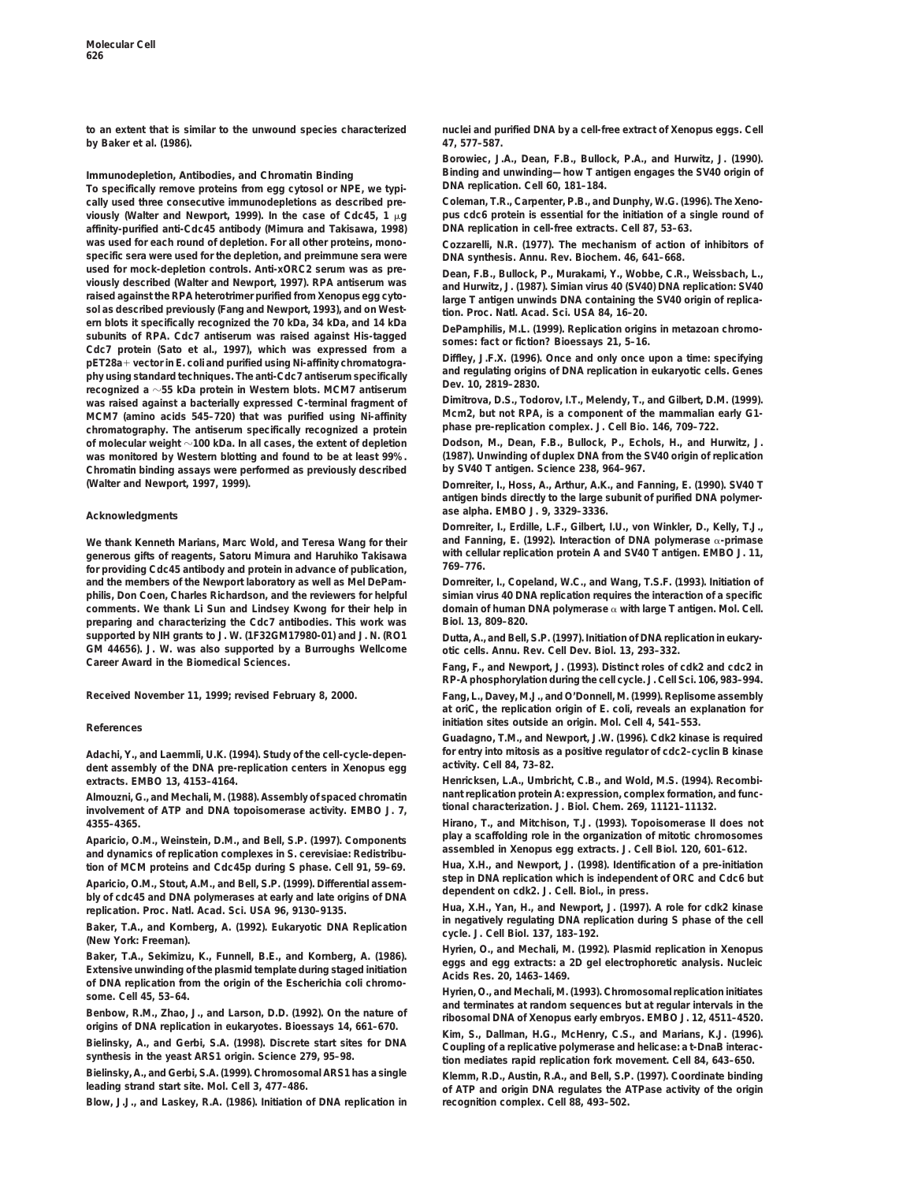**by Baker et al. (1986).** *47***, 577–587.**

To specifically remove proteins from egg cytosol or NPE, we typi**cally used three consecutive immunodepletions as described pre- Coleman, T.R., Carpenter, P.B., and Dunphy, W.G. (1996). The** *Xeno***viously (Walter and Newport, 1999). In the case of Cdc45, 1** m**g** *pus* **cdc6 protein is essential for the initiation of a single round of** affinity-purified anti-Cdc45 antibody (Mimura and Takisawa, 1998) **was used for each round of depletion. For all other proteins, mono- Cozzarelli, N.R. (1977). The mechanism of action of inhibitors of specific sera were used for the depletion, and preimmune sera were DNA synthesis. Annu. Rev. Biochem.** *46***, 641–668.** used for mock-depletion controls. Anti-xORC2 serum was as pre-<br>viously described (Walter and Newport, 1997). RPA antiserum was<br>raised against the RPA heterotrime purified from Xenopus egg cyto-<br>sol as described previously ern blots it specifically recognized the 70 kDa, 34 kDa, and 14 kDa<br>subunits of RPA. Cdc7 antiserum was raised against His-tagged<br>Cdc7 protein (Sato et al., 1999). Replication origins in metazoan chromo-<br>pET28a+ vector in **was raised against a bacterially expressed C-terminal fragment of Dimitrova, D.S., Todorov, I.T., Melendy, T., and Gilbert, D.M. (1999).** MCM7 (amino acids 545–720) that was purified using Ni-affinity Mcm2, but not RPA, is a component of the mammalian<br>chromatography. The antiserum specifically recognized a protein phase pre-replication complex. J. Cell Bio. chromatography. The antiserum specifically recognized a protein phase pre-replication complex. J. Cell Bio. 146, 709–722.<br>
of molecular weight ~100 kDa. In all cases, the extent of depletion Dodson, M., Dean, F.B., Bullock **of molecular weight**  $\sim$ 100 kDa. In all cases, the extent of depletion **was monitored by Western blotting and found to be at least 99%. (1987). Unwinding of duplex DNA from the SV40 origin of replication Chromatin binding assays were performed as previously described. (Walter and Newport, 1997, 1999). Dornreiter, I., Hoss, A., Arthur, A.K., and Fanning, E. (1990). SV40 T**

We thank Kenneth Marians, Marc Wold, and Teresa Wang for their **generous gifts of reagents, Satoru Mimura and Haruhiko Takisawa with cellular replication protein A and SV40 T antigen. EMBO J.** *11***, 769–776. for providing Cdc45 antibody and protein in advance of publication, and the members of the Newport laboratory as well as Mel DePam- Dornreiter, I., Copeland, W.C., and Wang, T.S.F. (1993). Initiation of philis, Don Coen, Charles Richardson, and the reviewers for helpful simian virus 40 DNA replication requires the interaction of a specific comments. We thank Li Sun and Lindsey Kwong for their help in domain of human DNA polymerase** a **with large T antigen. Mol. Cell. preparing and characterizing the Cdc7 antibodies. This work was Biol.** *13***, 809–820. supported by NIH grants to J. W. (1F32GM17980-01) and J. N. (RO1 Dutta, A., and Bell, S.P. (1997). Initiation of DNA replication in eukary-GM 44656). J. W. was also supported by a Burroughs Wellcome otic cells. Annu. Rev. Cell Dev. Biol.** *13***, 293–332. Career Award in the Biomedical Sciences. Fang, F., and Newport, J. (1993). Distinct roles of cdk2 and cdc2 in**

**Received November 11, 1999; revised February 8, 2000. Fang, L., Davey, M.J., and O'Donnell, M. (1999). Replisome assembly**

**activity. Cell** *84***, 73–82. dent assembly of the DNA pre-replication centers in** *Xenopus* **egg extracts. EMBO** *13***, 4153–4164. Henricksen, L.A., Umbricht, C.B., and Wold, M.S. (1994). Recombi-**

Aparicio, O.M., Weinstein, D.M., and Bell, S.P. (1997). Components<br>and dynamics of replication complexes in S. cerevisiae: Redistribu-<br>tion of MCM proteins and Cdc45p during S phase. Cell 91. 59–69. Hua, X.H., and Newport,

Aparicio, O.M., Stout, A.M., and Bell, S.P. (1999). Differential assem-<br>bly of cdc45 and DNA polymerases at early and late origins of DNA<br>replication. Proc. Natl. Acad. Sci. USA 96, 9130–9135.<br>Paker T.A., and Newport, J. (

Baker, T.A., and Kornberg, A. (1992). Eukaryotic DNA Replication<br>
(New York: Freeman).<br>
Eukaryotic DNA Replication<br>
Extensive unwinding of the plasmid template during staged initiation<br>
Extensive unwinding of the plasmid t

Bielinsky, A., and Gerbi, S.A. (1999). Chromosomal ARS1 has a single Klemm, R.D., Austin, R.A., and Bell, S.P. (1997). Coordinate binding<br>leading strand start site. Mol. Cell 3, 477–486. each of ATP and origin DNA regulate

**Blow, J.J., and Laskey, R.A. (1986). Initiation of DNA replication in recognition complex. Cell** *88***, 493–502.**

**to an extent that is similar to the unwound species characterized nuclei and purified DNA by a cell-free extract of** *Xenopus* **eggs. Cell**

**Borowiec, J.A., Dean, F.B., Bullock, P.A., and Hurwitz, J. (1990). Binding and unwinding—how T antigen engages the SV40 origin of**<br> **In specifically remove proteins from egg cytosol or NPF** we typi. DNA replication. Cell 60, 181-184.

**antigen binds directly to the large subunit of purified DNA polymerase alpha. EMBO J.** *9***, 3329–3336. Acknowledgments**

**Dornreiter, I., Erdille, L.F., Gilbert, I.U., von Winkler, D., Kelly, T.J.,**

**RP-A phosphorylation during the cell cycle. J. Cell Sci.** *106***, 983–994.**

**at oriC, the replication origin of** *E. coli***, reveals an explanation for initiation sites outside an origin. Mol. Cell** *<sup>4</sup>***, 541–553. References**

**Guadagno, T.M., and Newport, J.W. (1996). Cdk2 kinase is required Adachi, Y., and Laemmli, U.K. (1994). Study of the cell-cycle-depen- for entry into mitosis as a positive regulator of cdc2–cyclin B kinase**

Almouzni, G., and Mechali, M. (1988). Assembly of spaced chromatin nant replication protein A: expression, complex formation, and func-<br>involvement of ATP and DNA topoisomerase activity. EMBO J. 7, tional characterization.

**4355–4365. Hirano, T., and Mitchison, T.J. (1993). Topoisomerase II does not**

**tion of MCM proteins and Cdc45p during S phase. Cell** *91***, 59–69. Hua, X.H., and Newport, J. (1998). Identification of a pre-initiation**

of DNA replication from the origin of the *Escherichia coli* chromo-<br>some. Cell 45, 53–64.<br>Benbow, R.M., Zhao, J., and Larson, D.D. (1992). On the nature of<br>origins of DNA replication in eukaryotes. Bioessays 14, 661–670.<br>

Selinsky, A., and Gerbi, S.A. (1998). Discrete start sites for DNA<br>Selinsky, A., and Gerbi, S.A. (1998). Discrete start sites for DNA<br>Bielinsky, A., and Gerbi, S.A. (1998). Discrete start sites for DNA<br>Bielinsky, A., and G